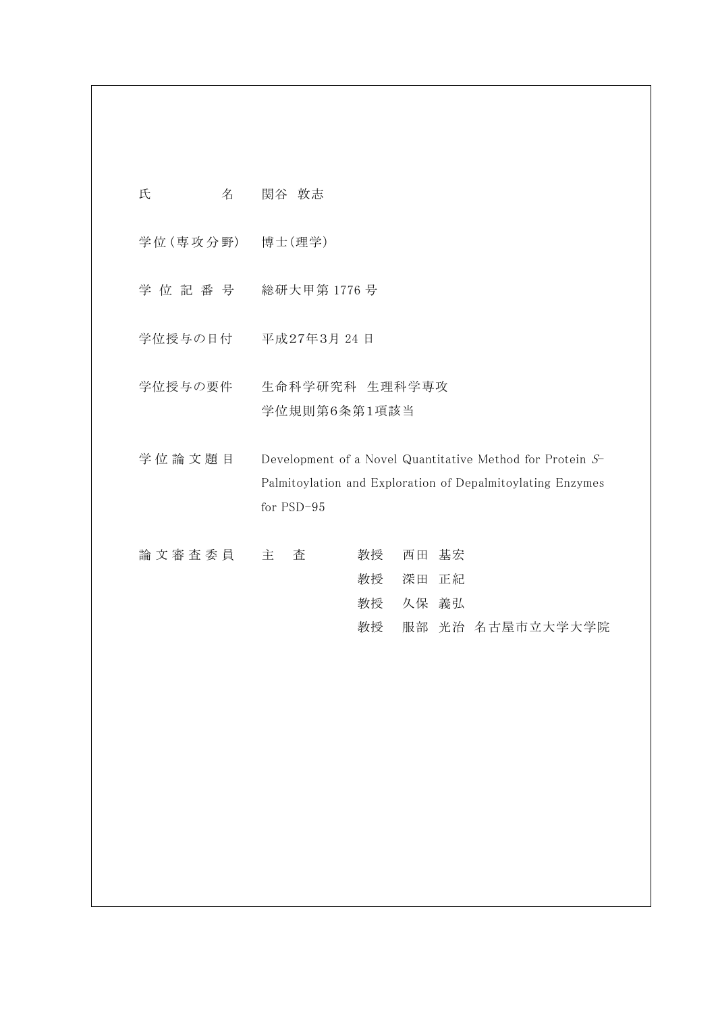| 氏         | 名 | 関谷 敦志                                                                                                                                 |                      |    |                      |                  |
|-----------|---|---------------------------------------------------------------------------------------------------------------------------------------|----------------------|----|----------------------|------------------|
| 学位 (専攻分野) |   | 博士(理学)                                                                                                                                |                      |    |                      |                  |
| 学 位 記 番 号 |   | 総研大甲第1776号                                                                                                                            |                      |    |                      |                  |
| 学位授与の日付   |   | 平成27年3月 24日                                                                                                                           |                      |    |                      |                  |
| 学位授与の要件   |   | 生命科学研究科 生理科学専攻<br>学位規則第6条第1項該当                                                                                                        |                      |    |                      |                  |
| 学位論文題目    |   | Development of a Novel Quantitative Method for Protein S-<br>Palmitoylation and Exploration of Depalmitoylating Enzymes<br>for PSD-95 |                      |    |                      |                  |
| 論文審査委員    |   | 査<br>主                                                                                                                                | 教授<br>教授<br>教授<br>教授 | 西田 | 基宏<br>深田 正紀<br>久保 義弘 | 服部 光治 名古屋市立大学大学院 |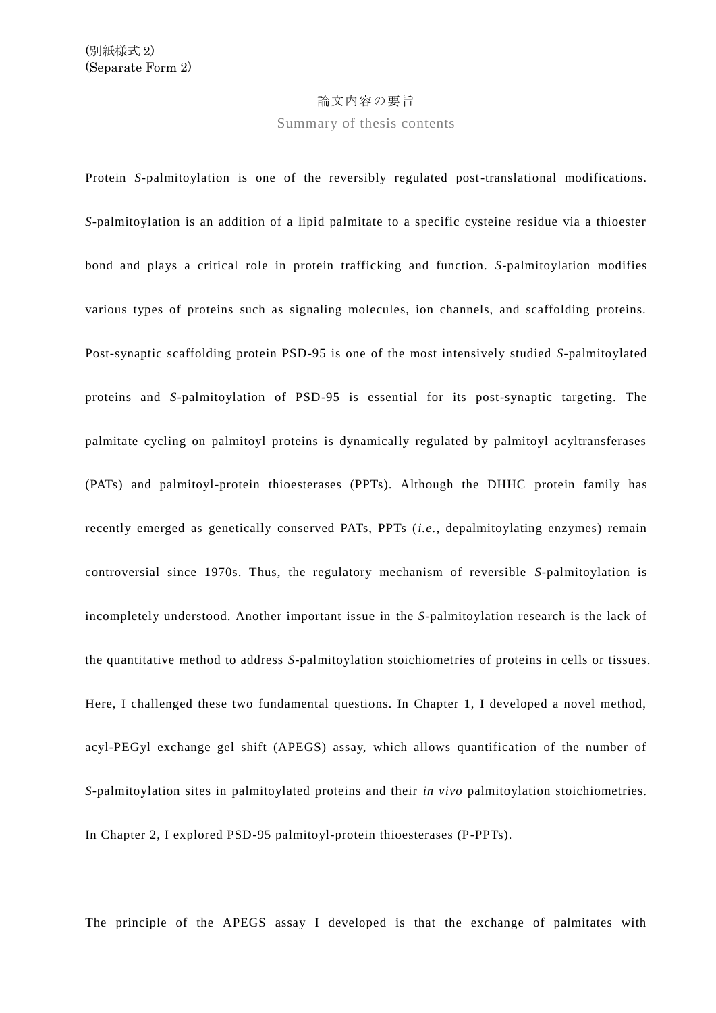## 論文内容の要旨

Summary of thesis contents

Protein *S*-palmitoylation is one of the reversibly regulated post-translational modifications. *S*-palmitoylation is an addition of a lipid palmitate to a specific cysteine residue via a thioester bond and plays a critical role in protein trafficking and function. *S*-palmitoylation modifies various types of proteins such as signaling molecules, ion channels, and scaffolding proteins. Post-synaptic scaffolding protein PSD-95 is one of the most intensively studied *S*-palmitoylated proteins and *S*-palmitoylation of PSD-95 is essential for its post-synaptic targeting. The palmitate cycling on palmitoyl proteins is dynamically regulated by palmitoyl acyltransferases (PATs) and palmitoyl-protein thioesterases (PPTs). Although the DHHC protein family has recently emerged as genetically conserved PATs, PPTs (*i.e.*, depalmitoylating enzymes) remain controversial since 1970s. Thus, the regulatory mechanism of reversible *S*-palmitoylation is incompletely understood. Another important issue in the *S*-palmitoylation research is the lack of the quantitative method to address *S*-palmitoylation stoichiometries of proteins in cells or tissues. Here, I challenged these two fundamental questions. In Chapter 1, I developed a novel method, acyl-PEGyl exchange gel shift (APEGS) assay, which allows quantification of the number of *S*-palmitoylation sites in palmitoylated proteins and their *in vivo* palmitoylation stoichiometries. In Chapter 2, I explored PSD-95 palmitoyl-protein thioesterases (P-PPTs).

The principle of the APEGS assay I developed is that the exchange of palmitates with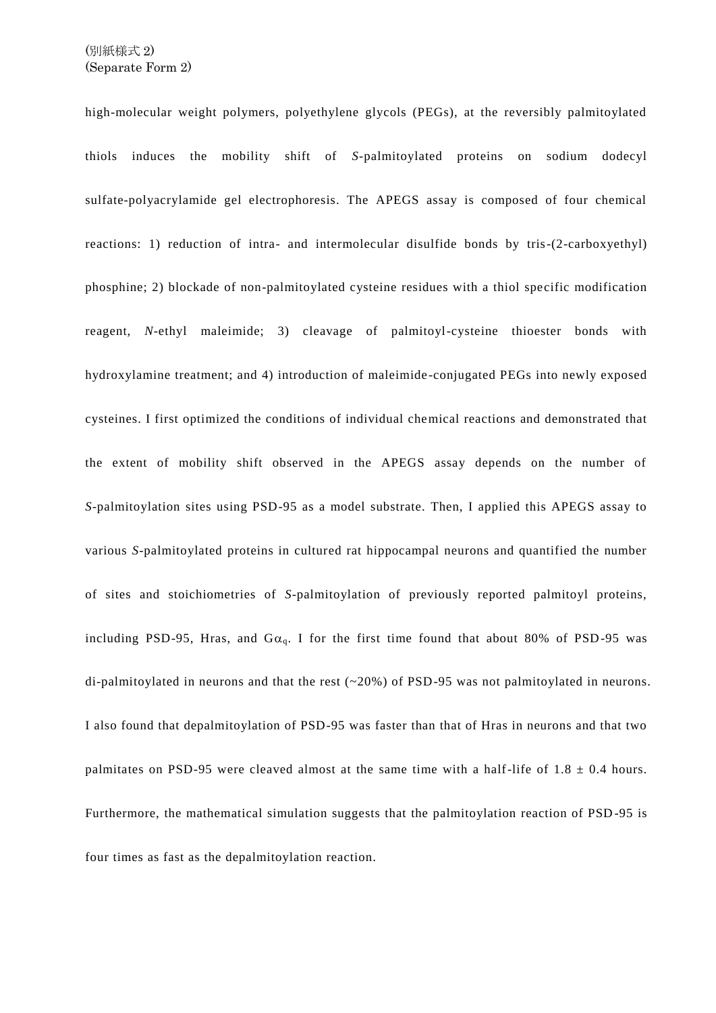high-molecular weight polymers, polyethylene glycols (PEGs), at the reversibly palmitoylated thiols induces the mobility shift of *S*-palmitoylated proteins on sodium dodecyl sulfate-polyacrylamide gel electrophoresis. The APEGS assay is composed of four chemical reactions: 1) reduction of intra- and intermolecular disulfide bonds by tris-(2-carboxyethyl) phosphine; 2) blockade of non-palmitoylated cysteine residues with a thiol specific modification reagent, *N*-ethyl maleimide; 3) cleavage of palmitoyl-cysteine thioester bonds with hydroxylamine treatment; and 4) introduction of maleimide-conjugated PEGs into newly exposed cysteines. I first optimized the conditions of individual chemical reactions and demonstrated that the extent of mobility shift observed in the APEGS assay depends on the number of *S*-palmitoylation sites using PSD-95 as a model substrate. Then, I applied this APEGS assay to various *S*-palmitoylated proteins in cultured rat hippocampal neurons and quantified the number of sites and stoichiometries of *S*-palmitoylation of previously reported palmitoyl proteins, including PSD-95, Hras, and  $Ga<sub>a</sub>$ . I for the first time found that about 80% of PSD-95 was di-palmitoylated in neurons and that the rest  $(\sim 20\%)$  of PSD-95 was not palmitoylated in neurons. I also found that depalmitoylation of PSD-95 was faster than that of Hras in neurons and that two palmitates on PSD-95 were cleaved almost at the same time with a half-life of  $1.8 \pm 0.4$  hours. Furthermore, the mathematical simulation suggests that the palmitoylation reaction of PSD -95 is four times as fast as the depalmitoylation reaction.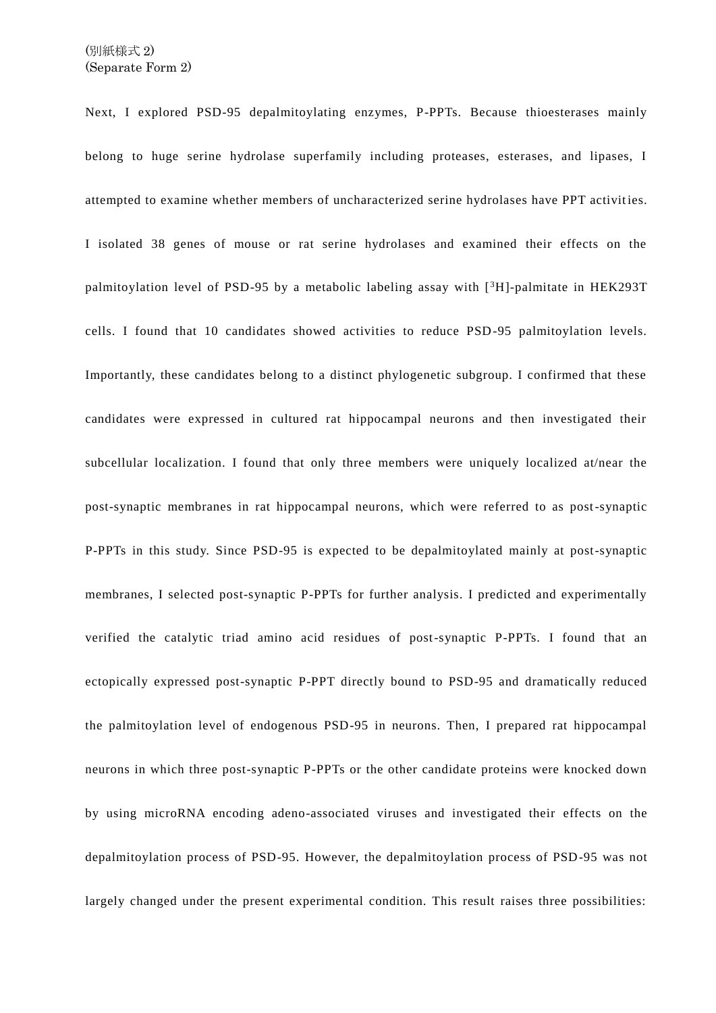Next, I explored PSD-95 depalmitoylating enzymes, P-PPTs. Because thioesterases mainly belong to huge serine hydrolase superfamily including proteases, esterases, and lipases, I attempted to examine whether members of uncharacterized serine hydrolases have PPT activit ies. I isolated 38 genes of mouse or rat serine hydrolases and examined their effects on the palmitoylation level of PSD-95 by a metabolic labeling assay with  $\binom{3H}{1}$ -palmitate in HEK293T cells. I found that 10 candidates showed activities to reduce PSD-95 palmitoylation levels. Importantly, these candidates belong to a distinct phylogenetic subgroup. I confirmed that these candidates were expressed in cultured rat hippocampal neurons and then investigated their subcellular localization. I found that only three members were uniquely localized at/near the post-synaptic membranes in rat hippocampal neurons, which were referred to as post-synaptic P-PPTs in this study. Since PSD-95 is expected to be depalmitoylated mainly at post-synaptic membranes, I selected post-synaptic P-PPTs for further analysis. I predicted and experimentally verified the catalytic triad amino acid residues of post-synaptic P-PPTs. I found that an ectopically expressed post-synaptic P-PPT directly bound to PSD-95 and dramatically reduced the palmitoylation level of endogenous PSD-95 in neurons. Then, I prepared rat hippocampal neurons in which three post-synaptic P-PPTs or the other candidate proteins were knocked down by using microRNA encoding adeno-associated viruses and investigated their effects on the depalmitoylation process of PSD-95. However, the depalmitoylation process of PSD-95 was not largely changed under the present experimental condition. This result raises three possibilities: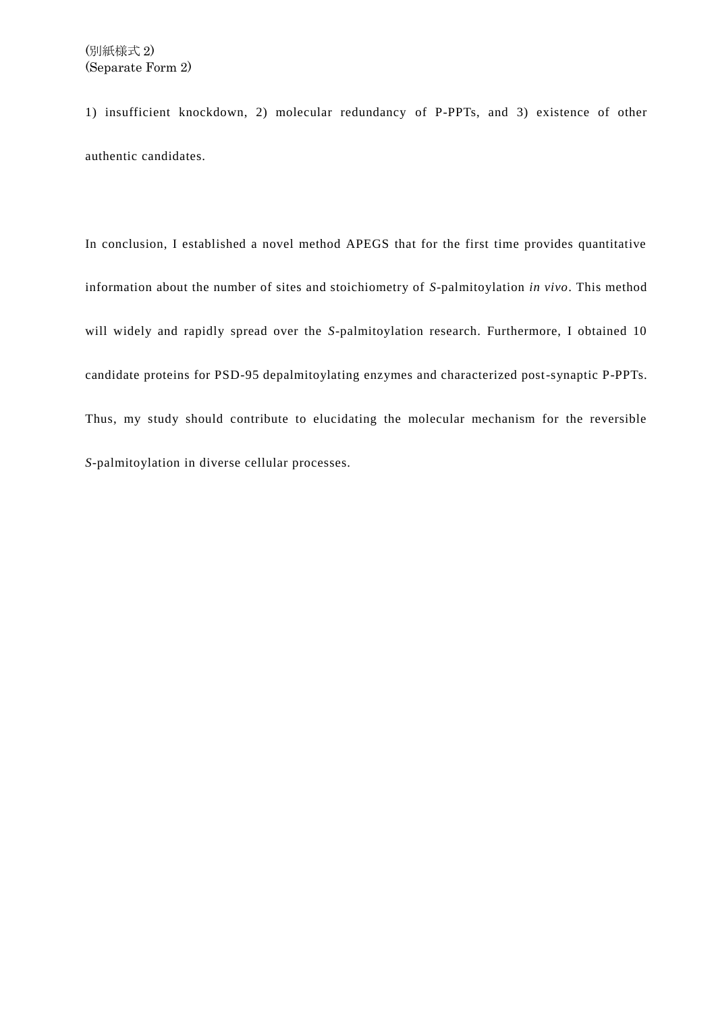1) insufficient knockdown, 2) molecular redundancy of P-PPTs, and 3) existence of other authentic candidates.

In conclusion, I established a novel method APEGS that for the first time provides quantitative information about the number of sites and stoichiometry of *S*-palmitoylation *in vivo*. This method will widely and rapidly spread over the *S*-palmitoylation research. Furthermore, I obtained 10 candidate proteins for PSD-95 depalmitoylating enzymes and characterized post-synaptic P-PPTs. Thus, my study should contribute to elucidating the molecular mechanism for the reversible *S*-palmitoylation in diverse cellular processes.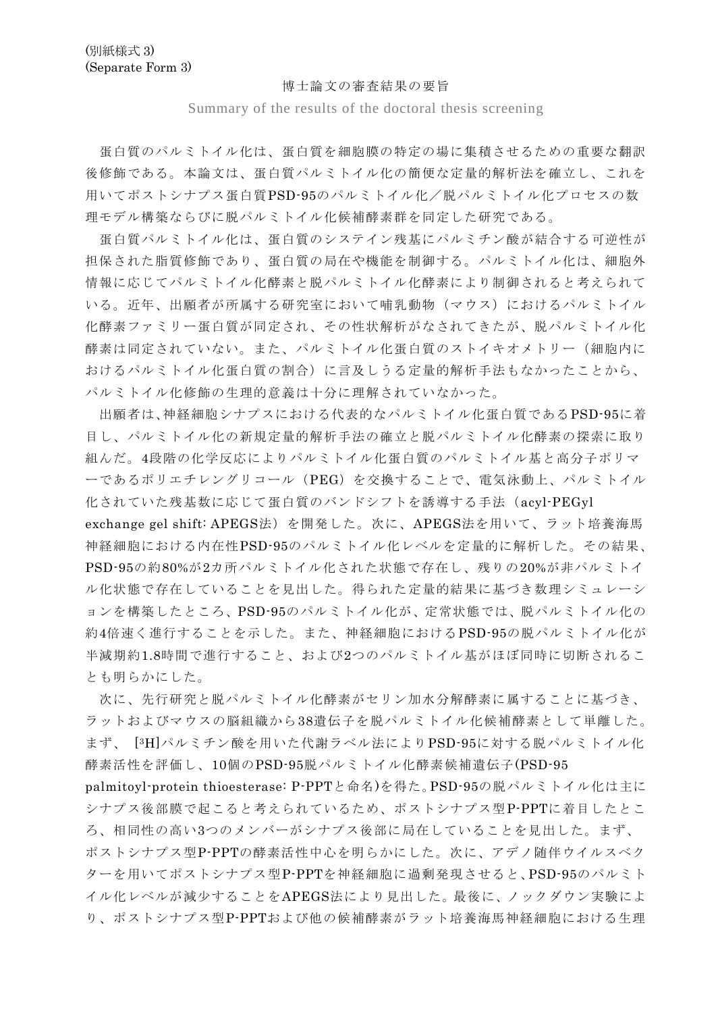## 博士論文の審査結果の要旨

Summary of the results of the doctoral thesis screening

蛋白質のパルミトイル化は、蛋白質を細胞膜の特定の場に集積させるための重要な翻訳 後修飾である。本論文は、蛋白質パルミトイル化の簡便な定量的解析法を確立し、これを 用いてポストシナプス蛋白質PSD-95のパルミトイル化/脱パルミトイル化プロセスの数 理モデル構築ならびに脱パルミトイル化候補酵素群を同定した研究である。

蛋白質パルミトイル化は、蛋白質のシステイン残基にパルミチン酸が結合する可逆性が 担保された脂質修飾であり、蛋白質の局在や機能を制御する。パルミトイル化は、細胞外 情報に応じてパルミトイル化酵素と脱パルミトイル化酵素により制御されると考えられて いる。近年、出願者が所属する研究室において哺乳動物(マウス)におけるパルミトイル 化酵素ファミリー蛋白質が同定され、その性状解析がなされてきたが、脱パルミトイル化 酵素は同定されていない。また、パルミトイル化蛋白質のストイキオメトリー(細胞内に おけるパルミトイル化蛋白質の割合)に言及しうる定量的解析手法もなかったことから、 パルミトイル化修飾の生理的意義は十分に理解されていなかった。

出願者は、神経細胞シナプスにおける代表的なパルミトイル化蛋白質であるPSD-95に着 目し、パルミトイル化の新規定量的解析手法の確立と脱パルミトイル化酵素の探索に取り 組んだ。4段階の化学反応によりパルミトイル化蛋白質のパルミトイル基と高分子ポリマ ーであるポリエチレングリコール(PEG)を交換することで、電気泳動上、パルミトイル 化されていた残基数に応じて蛋白質のバンドシフトを誘導する手法(acyl-PEGyl

exchange gel shift: APEGS法)を開発した。次に、APEGS法を用いて、ラット培養海馬 神経細胞における内在性PSD-95のパルミトイル化レベルを定量的に解析した。その結果、 PSD-95の約80%が2カ所パルミトイル化された状態で存在し、残りの20%が非パルミトイ ル化状態で存在していることを見出した。得られた定量的結果に基づき数理シミュレーシ ョンを構築したところ、PSD-95のパルミトイル化が、定常状態では、脱パルミトイル化の 約4倍速く進行することを示した。また、神経細胞におけるPSD-95の脱パルミトイル化が 半減期約1.8時間で進行すること、および2つのパルミトイル基がほぼ同時に切断されるこ とも明らかにした。

次に、先行研究と脱パルミトイル化酵素がセリン加水分解酵素に属することに基づき、 ラットおよびマウスの脳組織から38遺伝子を脱パルミトイル化候補酵素として単離した。 まず、 [ <sup>3</sup>H]パルミチン酸を用いた代謝ラベル法によりPSD-95に対する脱パルミトイル化 酵素活性を評価し、10個のPSD-95脱パルミトイル化酵素候補遺伝子(PSD-95

palmitoyl-protein thioesterase: P-PPTと命名)を得た。PSD-95の脱パルミトイル化は主に シナプス後部膜で起こると考えられているため、ポストシナプス型P-PPTに着目したとこ ろ、相同性の高い3つのメンバーがシナプス後部に局在していることを見出した。まず、 ポストシナプス型P-PPTの酵素活性中心を明らかにした。次に、アデノ随伴ウイルスベク ターを用いてポストシナプス型P-PPTを神経細胞に過剰発現させると、PSD-95のパルミト イル化レベルが減少することをAPEGS法により見出した。最後に、ノックダウン実験によ り、ポストシナプス型P-PPTおよび他の候補酵素がラット培養海馬神経細胞における生理